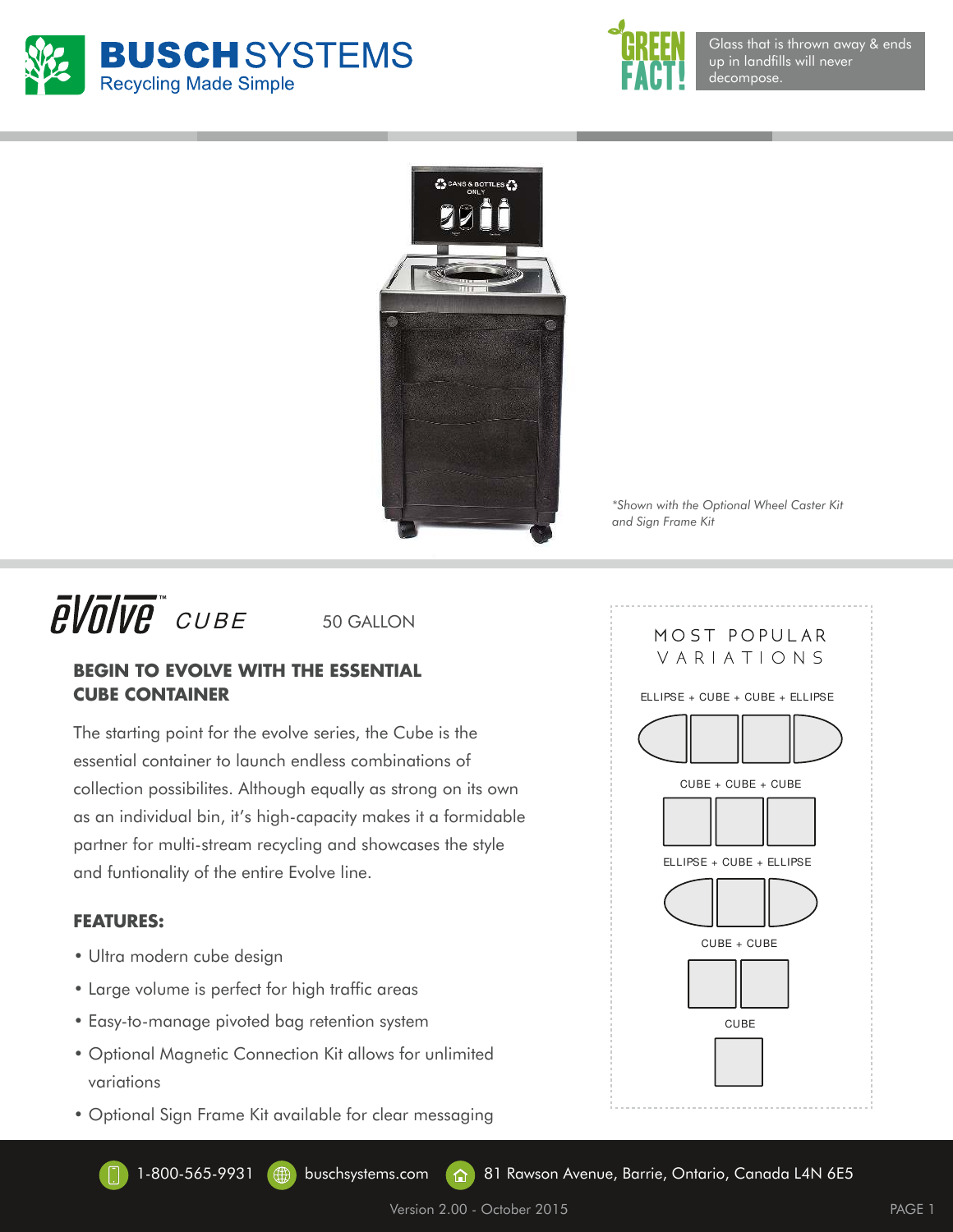





*\*Shown with the Optional Wheel Caster Kit and Sign Frame Kit*

## $\bar{E}$ *VOIV* $\bar{\theta}$  *cube*

50 GALLON

## **BEGIN TO EVOLVE WITH THE ESSENTIAL CUBE CONTAINER**

The starting point for the evolve series, the Cube is the essential container to launch endless combinations of collection possibilites. Although equally as strong on its own as an individual bin, it's high-capacity makes it a formidable partner for multi-stream recycling and showcases the style and funtionality of the entire Evolve line.

## **FEATURES:**

- Ultra modern cube design
- Large volume is perfect for high traffic areas
- Easy-to-manage pivoted bag retention system
- Optional Magnetic Connection Kit allows for unlimited variations
- Optional Sign Frame Kit available for clear messaging



1-800-565-9931 (H) buschsystems.com (A) 81 Rawson Avenue, Barrie, Ontario, Canada L4N 6E5